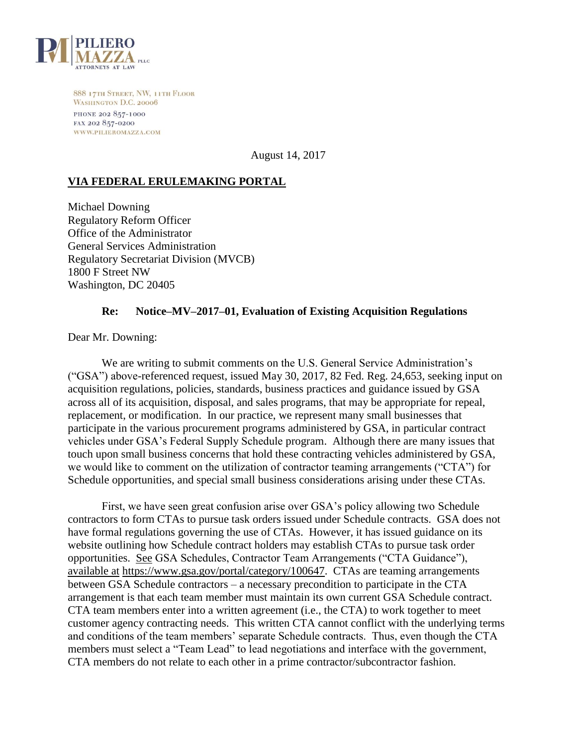

888 17TH STREET, NW, 11TH FLOOR WASHINGTON D.C. 20006 PHONE 202 857-1000 FAX 202 857-0200 WWW.PILIEROMAZZA.COM

August 14, 2017

## **VIA FEDERAL ERULEMAKING PORTAL**

Michael Downing Regulatory Reform Officer Office of the Administrator General Services Administration Regulatory Secretariat Division (MVCB) 1800 F Street NW Washington, DC 20405

## **Re: Notice–MV–2017–01, Evaluation of Existing Acquisition Regulations**

Dear Mr. Downing:

We are writing to submit comments on the U.S. General Service Administration's ("GSA") above-referenced request, issued May 30, 2017, 82 Fed. Reg. 24,653, seeking input on acquisition regulations, policies, standards, business practices and guidance issued by GSA across all of its acquisition, disposal, and sales programs, that may be appropriate for repeal, replacement, or modification. In our practice, we represent many small businesses that participate in the various procurement programs administered by GSA, in particular contract vehicles under GSA's Federal Supply Schedule program. Although there are many issues that touch upon small business concerns that hold these contracting vehicles administered by GSA, we would like to comment on the utilization of contractor teaming arrangements ("CTA") for Schedule opportunities, and special small business considerations arising under these CTAs.

First, we have seen great confusion arise over GSA's policy allowing two Schedule contractors to form CTAs to pursue task orders issued under Schedule contracts. GSA does not have formal regulations governing the use of CTAs. However, it has issued guidance on its website outlining how Schedule contract holders may establish CTAs to pursue task order opportunities. See GSA Schedules, Contractor Team Arrangements ("CTA Guidance"), available at https://www.gsa.gov/portal/category/100647. CTAs are teaming arrangements between GSA Schedule contractors – a necessary precondition to participate in the CTA arrangement is that each team member must maintain its own current GSA Schedule contract. CTA team members enter into a written agreement (i.e., the CTA) to work together to meet customer agency contracting needs. This written CTA cannot conflict with the underlying terms and conditions of the team members' separate Schedule contracts. Thus, even though the CTA members must select a "Team Lead" to lead negotiations and interface with the government, CTA members do not relate to each other in a prime contractor/subcontractor fashion.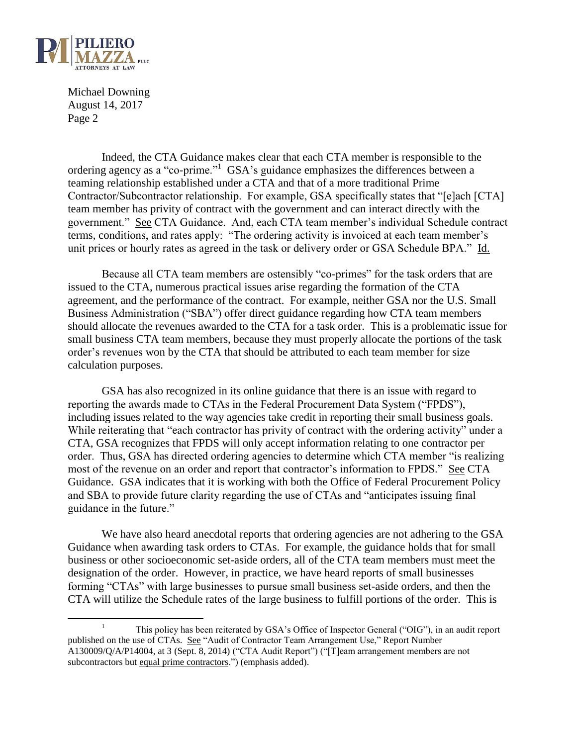

 $\overline{a}$ 

Michael Downing August 14, 2017 Page 2

Indeed, the CTA Guidance makes clear that each CTA member is responsible to the ordering agency as a "co-prime."<sup>1</sup> GSA's guidance emphasizes the differences between a teaming relationship established under a CTA and that of a more traditional Prime Contractor/Subcontractor relationship. For example, GSA specifically states that "[e]ach [CTA] team member has privity of contract with the government and can interact directly with the government." See CTA Guidance. And, each CTA team member's individual Schedule contract terms, conditions, and rates apply: "The ordering activity is invoiced at each team member's unit prices or hourly rates as agreed in the task or delivery order or GSA Schedule BPA." Id.

Because all CTA team members are ostensibly "co-primes" for the task orders that are issued to the CTA, numerous practical issues arise regarding the formation of the CTA agreement, and the performance of the contract. For example, neither GSA nor the U.S. Small Business Administration ("SBA") offer direct guidance regarding how CTA team members should allocate the revenues awarded to the CTA for a task order. This is a problematic issue for small business CTA team members, because they must properly allocate the portions of the task order's revenues won by the CTA that should be attributed to each team member for size calculation purposes.

GSA has also recognized in its online guidance that there is an issue with regard to reporting the awards made to CTAs in the Federal Procurement Data System ("FPDS"), including issues related to the way agencies take credit in reporting their small business goals. While reiterating that "each contractor has privity of contract with the ordering activity" under a CTA, GSA recognizes that FPDS will only accept information relating to one contractor per order. Thus, GSA has directed ordering agencies to determine which CTA member "is realizing most of the revenue on an order and report that contractor's information to FPDS." See CTA Guidance. GSA indicates that it is working with both the Office of Federal Procurement Policy and SBA to provide future clarity regarding the use of CTAs and "anticipates issuing final guidance in the future."

We have also heard anecdotal reports that ordering agencies are not adhering to the GSA Guidance when awarding task orders to CTAs. For example, the guidance holds that for small business or other socioeconomic set-aside orders, all of the CTA team members must meet the designation of the order. However, in practice, we have heard reports of small businesses forming "CTAs" with large businesses to pursue small business set-aside orders, and then the CTA will utilize the Schedule rates of the large business to fulfill portions of the order. This is

<sup>1</sup> This policy has been reiterated by GSA's Office of Inspector General ("OIG"), in an audit report published on the use of CTAs. See "Audit of Contractor Team Arrangement Use," Report Number A130009/Q/A/P14004, at 3 (Sept. 8, 2014) ("CTA Audit Report") ("[T]eam arrangement members are not subcontractors but equal prime contractors.") (emphasis added).